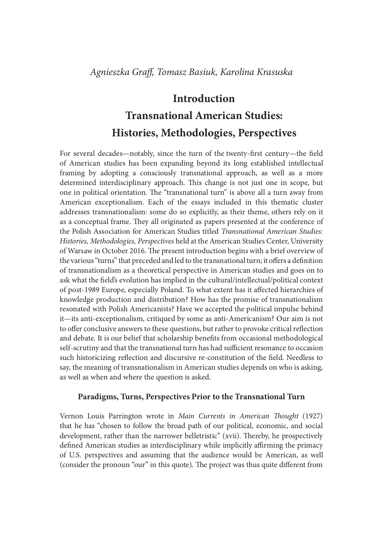## Introduction

# Transnational American Studies: Histories, Methodologies, Perspectives

For several decades—notably, since the turn of the twenty-first century—the field of American studies has been expanding beyond its long established intellectual framing by adopting a consciously transnational approach, as well as a more determined interdisciplinary approach. This change is not just one in scope, but one in political orientation. The "transnational turn" is above all a turn away from American exceptionalism. Each of the essays included in this thematic cluster addresses transnationalism: some do so explicitly, as their theme, others rely on it as a conceptual frame. They all originated as papers presented at the conference of the Polish Association for American Studies titled Transnational American Studies: Histories, Methodologies, Perspectives held at the American Studies Center, University of Warsaw in October 2016. The present introduction begins with a brief overview of the various "turns" that preceded and led to the transnational turn; it offers a definition of transnationalism as a theoretical perspective in American studies and goes on to ask what the field's evolution has implied in the cultural/intellectual/political context of post-1989 Europe, especially Poland. To what extent has it affected hierarchies of knowledge production and distribution? How has the promise of transnationalism resonated with Polish Americanists? Have we accepted the political impulse behind it—its anti-exceptionalism, critiqued by some as anti-Americanism? Our aim is not to offer conclusive answers to these questions, but rather to provoke critical reflection and debate. It is our belief that scholarship benefits from occasional methodological self-scrutiny and that the transnational turn has had sufficient resonance to occasion such historicizing reflection and discursive re-constitution of the field. Needless to say, the meaning of transnationalism in American studies depends on who is asking, as well as when and where the question is asked.

### Paradigms, Turns, Perspectives Prior to the Transnational Turn

Vernon Louis Parrington wrote in Main Currents in American Thought (1927) that he has "chosen to follow the broad path of our political, economic, and social development, rather than the narrower belletristic" (xvii). Thereby, he prospectively defined American studies as interdisciplinary while implicitly affirming the primacy of U.S. perspectives and assuming that the audience would be American, as well (consider the pronoun "our" in this quote). The project was thus quite different from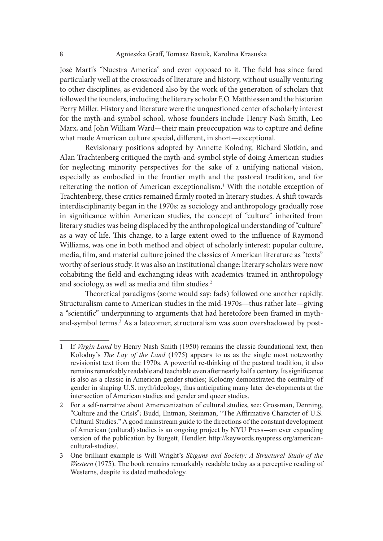José Marti's "Nuestra America" and even opposed to it. The field has since fared particularly well at the crossroads of literature and history, without usually venturing to other disciplines, as evidenced also by the work of the generation of scholars that followed the founders, including the literary scholar F.O. Matthiessen and the historian Perry Miller. History and literature were the unquestioned center of scholarly interest for the myth-and-symbol school, whose founders include Henry Nash Smith, Leo Marx, and John William Ward—their main preoccupation was to capture and define what made American culture special, different, in short—exceptional.

Revisionary positions adopted by Annette Kolodny, Richard Slotkin, and Alan Trachtenberg critiqued the myth-and-symbol style of doing American studies for neglecting minority perspectives for the sake of a unifying national vision, especially as embodied in the frontier myth and the pastoral tradition, and for reiterating the notion of American exceptionalism.<sup>1</sup> With the notable exception of Trachtenberg, these critics remained firmly rooted in literary studies. A shift towards interdisciplinarity began in the 1970s: as sociology and anthropology gradually rose in significance within American studies, the concept of "culture" inherited from literary studies was being displaced by the anthropological understanding of "culture" as a way of life. This change, to a large extent owed to the influence of Raymond Williams, was one in both method and object of scholarly interest: popular culture, media, film, and material culture joined the classics of American literature as "texts" worthy of serious study. It was also an institutional change: literary scholars were now cohabiting the field and exchanging ideas with academics trained in anthropology and sociology, as well as media and film studies.<sup>2</sup> chetnberg, these critics remained frmly rototed in literary studies. A shift towards<br>erdisciplinarity began in the 1970s: as sociology and anthropology gradually rose<br>significance within American studies, the concept of "

Theoretical paradigms (some would say: fads) followed one another rapidly. Structuralism came to American studies in the mid-1970s—thus rather late—giving a "scientific" underpinning to arguments that had heretofore been framed in mythand-symbol terms.<sup>3</sup> As a latecomer, structuralism was soon overshadowed by post-

<sup>1</sup> If Virgin Land by Henry Nash Smith (1950) remains the classic foundational text, then Kolodny's *The Lay of the Land* (1975) appears to us as the single most noteworthy revisionist text from the 1970s. A powerful re-thinking of the pastoral tradition, it also remains remarkably readable and teachable even after nearly half a century. Its significance is also as a classic in American gender studies; Kolodny demonstrated the centrality of gender in shaping U.S. myth/ideology, thus anticipating many later developments at the intersection of American studies and gender and queer studies. Structuralism came to American studies in the mid-1970s—thus rather late—giving<br>
3 "scientific" underpinning to arguments that had heretofore been framed in myth-<br>
and-symbol terms.<sup>3</sup> As a latecome, structuralism was soo

<sup>2</sup> For a self-narrative about Americanization of cultural studies, see: Grossman, Denning, "Culture and the Crisis"; Budd, Entman, Steinman, "The Affirmative Character of U.S. Cultural Studies."Agood mainstream guide to the directions of the constant development of American (cultural) studies is an ongoing project by NYU Press—an ever expanding version of the publication by Burgett, Hendler: http://keywords.nyupress.org/americancultural-studies/.

Western (1975). The book remains remarkably readable today as a perceptive reading of Westerns, despite its dated methodology.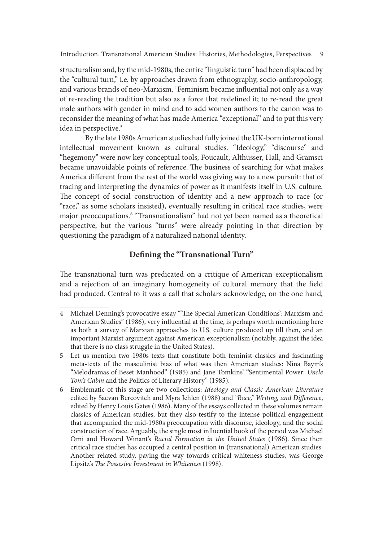structuralism and, by the mid-1980s, the entire "linguistic turn" had been displaced by the "cultural turn," i.e. by approaches drawn from ethnography, socio-anthropology, and various brands of neo-Marxism.<sup>4</sup> Feminism became influential not only as a way of re-reading the tradition but also as a force that redefined it; to re-read the great male authors with gender in mind and to add women authors to the canon was to reconsider the meaning of what has made America "exceptional" and to put this very idea in perspective.<sup>5</sup>

By the late 1980s American studies had fully joined the UK-born international intellectual movement known as cultural studies. "Ideology," "discourse" and "hegemony" were now key conceptual tools; Foucault, Althusser, Hall, and Gramsci became unavoidable points of reference. The business of searching for what makes America different from the rest of the world was giving way to a new pursuit: that of tracing and interpreting the dynamics of power as it manifests itself in U.S. culture. The concept of social construction of identity and a new approach to race (or "race," as some scholars insisted), eventually resulting in critical race studies, were major preoccupations.6 "Transnationalism" had not yet been named as a theoretical perspective, but the various "turns" were already pointing in that direction by questioning the paradigm of a naturalized national identity.

## Defining the "Transnational Turn"

The transnational turn was predicated on a critique of American exceptionalism and a rejection of an imaginary homogeneity of cultural memory that the field had produced. Central to it was a call that scholars acknowledge, on the one hand,

<sup>4</sup> Michael Denning's provocative essay "The Special American Conditions': Marxism and American Studies" (1986), very influential at the time, is perhaps worth mentioning here as both a survey of Marxian approaches to U.S. culture produced up till then, and an important Marxist argument against American exceptionalism (notably, against the idea that there is no class struggle in the United States).

<sup>5</sup> Let us mention two 1980s texts that constitute both feminist classics and fascinating meta-texts of the masculinist bias of what was then American studies: Nina Baym's "Melodramas of Beset Manhood" (1985) and Jane Tomkins' "Sentimental Power: Uncle Tom's Cabin and the Politics of Literary History" (1985).

<sup>6</sup> Emblematic of this stage are two collections: Ideology and Classic American Literature edited by Sacvan Bercovitch and Myra Jehlen (1988) and "Race," Writing, and Difference, edited by Henry Louis Gates (1986). Many of the essays collected in these volumes remain classics of American studies, but they also testify to the intense political engagement that accompanied the mid-1980s preoccupation with discourse, ideology, and the social construction of race. Arguably, the single most in{uential book of the period was Michael Omi and Howard Winant's Racial Formation in the United States (1986). Since then critical race studies has occupied a central position in (transnational) American studies. Another related study, paving the way towards critical whiteness studies, was George Lipsitz's The Possesive Investment in Whiteness (1998).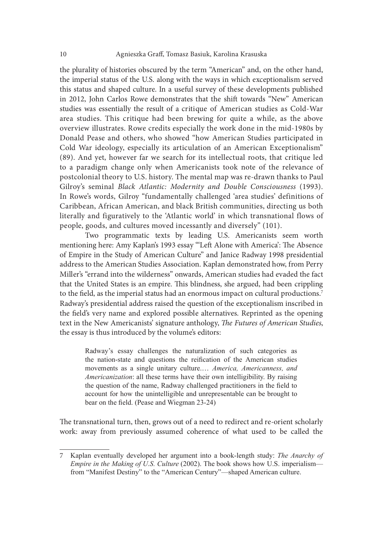the plurality of histories obscured by the term "American" and, on the other hand, the imperial status of the U.S. along with the ways in which exceptionalism served this status and shaped culture. In a useful survey of these developments published in 2012, John Carlos Rowe demonstrates that the shit towards "New" American studies was essentially the result of a critique of American studies as Cold-War area studies. This critique had been brewing for quite a while, as the above overview illustrates. Rowe credits especially the work done in the mid-1980s by Donald Pease and others, who showed "how American Studies participated in Cold War ideology, especially its articulation of an American Exceptionalism" (89). And yet, however far we search for its intellectual roots, that critique led to a paradigm change only when Americanists took note of the relevance of postcolonial theory to U.S. history. The mental map was re-drawn thanks to Paul area studies. This critique had been brewing for quite a while, as the above<br>overview illustrates. Rowe credits especially the work done in the mid-1980s by<br>Donald Pease and others, who showed "how American Studies partici In Rowe's words, Gilroy "fundamentally challenged 'area studies' definitions of Caribbean, African American, and black British communities, directing us both literally and figuratively to the 'Atlantic world' in which transnational flows of people, goods, and cultures moved incessantly and diversely" (101).

Two programmatic texts by leading U.S. Americanists seem worth mentioning here: Amy Kaplan's 1993 essay "'Left Alone with America': The Absence of Empire in the Study of American Culture" and Janice Radway 1998 presidential address to the American Studies Association. Kaplan demonstrated how, from Perry Miller's "errand into the wilderness" onwards, American studies had evaded the fact that the United States is an empire. This blindness, she argued, had been crippling to the field, as the imperial status had an enormous impact on cultural productions.<sup>7</sup> Radway's presidential address raised the question of the exceptionalism inscribed in the field's very name and explored possible alternatives. Reprinted as the opening text in the New Americanists' signature anthology, The Futures of American Studies, the essay is thus introduced by the volume's editors: e's words, Gilroy "fundamentally challenged 'area studies' definitions of and figuratively to the 'Atlantic world' in which transmissional flows of goods, and cultures moved incessantly and diversely" (101). Two programmat and figuratively to the 'Atlantic world' in which transmational flows of goods, and cultures moved incessantly and diversely" (101).<br>Two programmatic texts by leading U.S. Americanists seem worth fing here: Amy Kaplan's 19

the nation-state and questions the reification of the American studies *Americanization*: all these terms have their own intelligibility. By raising the question of the name, Radway challenged practitioners in the field to account for how the unintelligible and unrepresentable can be brought to bear on the field. (Pease and Wiegman 23-24) From the New Americanism and explored possible alternatives. Reprinted as the opening text in the New Americanists' signature anthology, *The Futures of American Studies*, the essay is thus introduced by the volume's edit

The transnational turn, then, grows out of a need to redirect and re-orient scholarly work: away from previously assumed coherence of what used to be called the

Empire in the Making of U.S. Culture (2002). The book shows how U.S. imperialism from "Manifest Destiny" to the "American Century"—shaped American culture.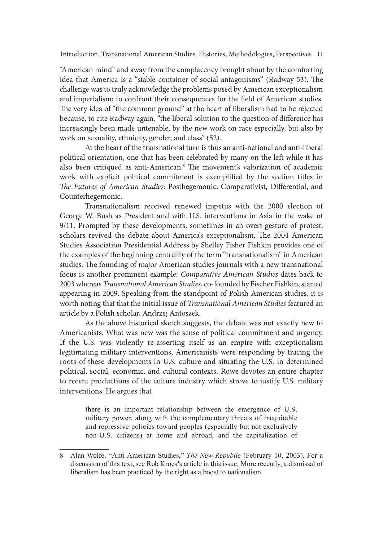"American mind" and away from the complacency brought about by the comforting idea that America is a "stable container of social antagonisms" (Radway 53). The challenge was to truly acknowledge the problems posed by American exceptionalism and imperialism; to confront their consequences for the field of American studies. The very idea of "the common ground" at the heart of liberalism had to be rejected because, to cite Radway again, "the liberal solution to the question of difference has increasingly been made untenable, by the new work on race especially, but also by work on sexuality, ethnicity, gender, and class" (52).

At the heart of the transnational turn is thus an anti-national and anti-liberal political orientation, one that has been celebrated by many on the left while it has also been critiqued as anti-American.<sup>8</sup> The movement's valorization of academic work with explicit political commitment is exemplified by the section titles in The Futures of American Studies: Posthegemonic, Comparativist, Differential, and Counterhegemonic.

Transnationalism received renewed impetus with the 2000 election of George W. Bush as President and with U.S. interventions in Asia in the wake of 9/11. Prompted by these developments, sometimes in an overt gesture of protest, scholars revived the debate about America's exceptionalism. The 2004 American Studies Association Presidential Address by Shelley Fisher Fishkin provides one of the examples of the beginning centrality of the term "transnationalism" in American studies. The founding of major American studies journals with a new transnational focus is another prominent example: Comparative American Studies dates back to 2003 whereas Transnational American Studies, co-founded by Fischer Fishkin, started appearing in 2009. Speaking from the standpoint of Polish American studies, it is worth noting that that the initial issue of Transnational American Studies featured an article by a Polish scholar, Andrzej Antoszek.

As the above historical sketch suggests, the debate was not exactly new to Americanists. What was new was the sense of political commitment and urgency. If the U.S. was violently re-asserting itself as an empire with exceptionalism legitimating military interventions, Americanists were responding by tracing the roots of these developments in U.S. culture and situating the U.S. in determined political, social, economic, and cultural contexts. Rowe devotes an entire chapter to recent productions of the culture industry which strove to justify U.S. military interventions. He argues that

there is an important relationship between the emergence of U.S. military power, along with the complementary threats of inequitable and repressive policies toward peoples (especially but not exclusively non-U.S. citizens) at home and abroad, and the capitalization of

<sup>8</sup> Alan Wolfe, "Anti-American Studies," The New Republic (February 10, 2003). For a discussion of this text, see Rob Kroes's article in this issue. More recently, a dismissal of liberalism has been practiced by the right as a boost to nationalism.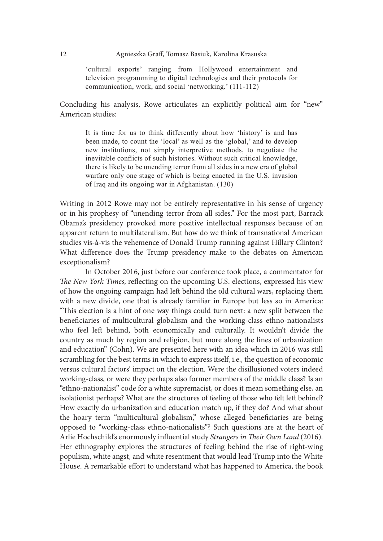#### 12 **Agnieszka Graff, Tomasz Basiuk, Karolina Krasuska**

Agnieszka Graff, Tomasz Basiuk, Karolina Krasuska<br>
"cultural exports" ranging from Hollywood entertainment and<br>
television programming to digital technologies and their protocols for<br>
communication, work, and social 'netwo television programming to digital technologies and their protocols for communication, work, and social 'networking.' (111-112)

Concluding his analysis, Rowe articulates an explicitly political aim for "new" American studies:

Agnieszka Graff, Tomasz Basiuk, Karolina Krasuska<br>
"cultural exports" ranging from Hollywood entertainment and<br>
television programming to digital technologies and their protocols for<br>
communication, work, and social "netwo been made, to count the 'local' as well as the 'global,' and to develop Agnieszka Graff, Tomasz Basiuk, Karolina Krasuska<br>
"cultural exports" ranging from Hollywood entertainment and<br>
television programming to digital technologies and their protocols for<br>
communication, work, and social 'netwo inevitable conflicts of such histories. Without such critical knowledge, there is likely to be unending terror from all sides in a new era of global warfare only one stage of which is being enacted in the U.S. invasion of Iraq and its ongoing war in Afghanistan. (130)

Writing in 2012 Rowe may not be entirely representative in his sense of urgency or in his prophesy of "unending terror from all sides." For the most part, Barrack Obama's presidency provoked more positive intellectual responses because of an apparent return to multilateralism. But how do we think of transnational American studies vis-à-vis the vehemence of Donald Trump running against Hillary Clinton? What difference does the Trump presidency make to the debates on American exceptionalism?

In October 2016, just before our conference took place, a commentator for The New York Times, reflecting on the upcoming U.S. elections, expressed his view of how the ongoing campaign had let behind the old cultural wars, replacing them with a new divide, one that is already familiar in Europe but less so in America: "This election is a hint of one way things could turn next: a new split between the beneficiaries of multicultural globalism and the working-class ethno-nationalists who feel left behind, both economically and culturally. It wouldn't divide the country as much by region and religion, but more along the lines of urbanization and education" (Cohn). We are presented here with an idea which in 2016 was still scrambling for the best terms in which to express itself, i.e., the question of economic versus cultural factors' impact on the election. Were the disillusioned voters indeed working-class, or were they perhaps also former members of the middle class? Is an "ethno-nationalist" code for a white supremacist, or does it mean something else, an isolationist perhaps? What are the structures of feeling of those who felt left behind? How exactly do urbanization and education match up, if they do? And what about the hoary term "multicultural globalism," whose alleged beneficiaries are being opposed to "working-class ethno-nationalists"? Such questions are at the heart of Arlie Hochschild's enormously influential study Strangers in Their Own Land (2016). Her ethnography explores the structures of feeling behind the rise of right-wing populism, white angst, and white resentment that would lead Trump into the White House. A remarkable effort to understand what has happened to America, the book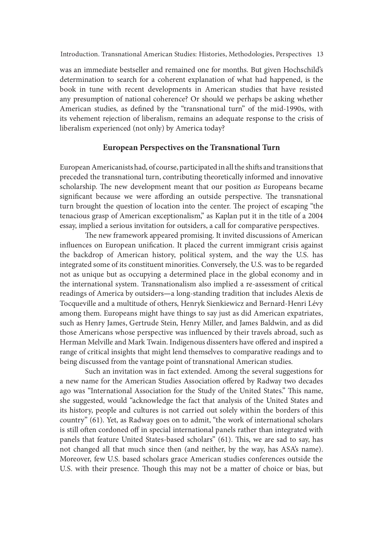was an immediate bestseller and remained one for months. But given Hochschild's determination to search for a coherent explanation of what had happened, is the book in tune with recent developments in American studies that have resisted any presumption of national coherence? Or should we perhaps be asking whether American studies, as defined by the "transnational turn" of the mid-1990s, with its vehement rejection of liberalism, remains an adequate response to the crisis of liberalism experienced (not only) by America today?

#### European Perspectives on the Transnational Turn

European Americanists had, of course, participated in all the shits and transitions that preceded the transnational turn, contributing theoretically informed and innovative scholarship. The new development meant that our position as Europeans became significant because we were affording an outside perspective. The transnational turn brought the question of location into the center. The project of escaping "the tenacious grasp of American exceptionalism," as Kaplan put it in the title of a 2004 essay, implied a serious invitation for outsiders, a call for comparative perspectives.

The new framework appeared promising. It invited discussions of American influences on European unification. It placed the current immigrant crisis against the backdrop of American history, political system, and the way the U.S. has integrated some of its constituent minorities. Conversely, the U.S. was to be regarded not as unique but as occupying a determined place in the global economy and in the international system. Transnationalism also implied a re-assessment of critical readings of America by outsiders—a long-standing tradition that includes Alexis de Tocqueville and a multitude of others, Henryk Sienkiewicz and Bernard-Henri Lévy among them. Europeans might have things to say just as did American expatriates, such as Henry James, Gertrude Stein, Henry Miller, and James Baldwin, and as did those Americans whose perspective was in{uenced by their travels abroad, such as Herman Melville and Mark Twain. Indigenous dissenters have offered and inspired a range of critical insights that might lend themselves to comparative readings and to being discussed from the vantage point of transnational American studies.

Such an invitation was in fact extended. Among the several suggestions for a new name for the American Studies Association offered by Radway two decades ago was "International Association for the Study of the United States." This name, she suggested, would "acknowledge the fact that analysis of the United States and its history, people and cultures is not carried out solely within the borders of this country" (61). Yet, as Radway goes on to admit, "the work of international scholars is still often cordoned off in special international panels rather than integrated with panels that feature United States-based scholars" (61). This, we are sad to say, has not changed all that much since then (and neither, by the way, has ASA's name). Moreover, few U.S. based scholars grace American studies conferences outside the U.S. with their presence. Though this may not be a matter of choice or bias, but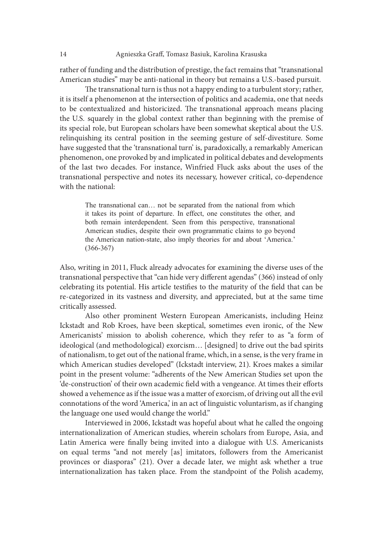rather of funding and the distribution of prestige, the fact remains that "transnational American studies" may be anti-national in theory but remains a U.S.-based pursuit.

The transnational turn is thus not a happy ending to a turbulent story; rather, it is itself a phenomenon at the intersection of politics and academia, one that needs to be contextualized and historicized. The transnational approach means placing the U.S. squarely in the global context rather than beginning with the premise of its special role, but European scholars have been somewhat skeptical about the U.S. relinquishing its central position in the seeming gesture of self-divestiture. Some have suggested that the 'transnational turn' is, paradoxically, a remarkably American phenomenon, one provoked by and implicated in political debates and developments of the last two decades. For instance, Winfried Fluck asks about the uses of the transnational perspective and notes its necessary, however critical, co-dependence with the national: Agnieszka ciran, iomasz Basiuk, Karolina Krasuska<br>
In studies" may be anti-national in theory but remains a U.S.-based pursuit.<br>
In the transmational turn is thus not a happy ending to a turbulent story; rather,<br>
fa phenom

The transnational can... not be separated from the national from which both remain interdependent. Seen from this perspective, transnational American studies, despite their own programmatic claims to go beyond the American nation-state, also imply theories for and about 'America.' (366-367)

Also, writing in 2011, Fluck already advocates for examining the diverse uses of the transnational perspective that "can hide very different agendas" (366) instead of only celebrating its potential. His article testifies to the maturity of the field that can be re-categorized in its vastness and diversity, and appreciated, but at the same time critically assessed.

Also other prominent Western European Americanists, including Heinz Ickstadt and Rob Kroes, have been skeptical, sometimes even ironic, of the New Americanists' mission to abolish coherence, which they refer to as "a form of ideological (and methodological) exorcism… [designed] to drive out the bad spirits of nationalism, to get out of the national frame, which, in a sense, is the very frame in which American studies developed" (Ickstadt interview, 21). Kroes makes a similar point in the present volume: "adherents of the New American Studies set upon the 'de-construction' of their own academic field with a vengeance. At times their efforts showed a vehemence as if the issue was a matter of exorcism, of driving out all the evil connotations of the word 'America,' in an act of linguistic voluntarism, as if changing the language one used would change the world."

Interviewed in 2006, Ickstadt was hopeful about what he called the ongoing internationalization of American studies, wherein scholars from Europe, Asia, and Latin America were finally being invited into a dialogue with U.S. Americanists on equal terms "and not merely [as] imitators, followers from the Americanist provinces or diasporas" (21). Over a decade later, we might ask whether a true internationalization has taken place. From the standpoint of the Polish academy,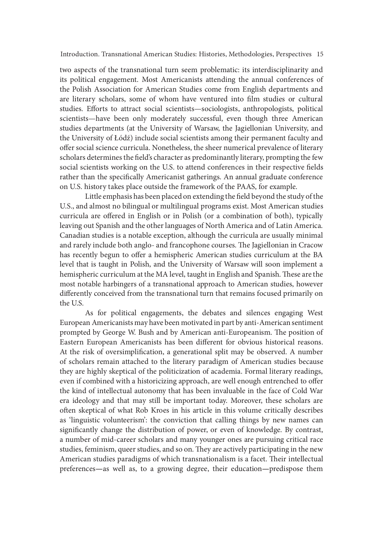two aspects of the transnational turn seem problematic: its interdisciplinarity and its political engagement. Most Americanists attending the annual conferences of the Polish Association for American Studies come from English departments and are literary scholars, some of whom have ventured into film studies or cultural studies. Efforts to attract social scientists—sociologists, anthropologists, political scientists—have been only moderately successful, even though three American studies departments (at the University of Warsaw, the Jagiellonian University, and the University of Łódź) include social scientists among their permanent faculty and offer social science curricula. Nonetheless, the sheer numerical prevalence of literary scholars determines the field's character as predominantly literary, prompting the few social scientists working on the U.S. to attend conferences in their respective fields rather than the specifically Americanist gatherings. An annual graduate conference on U.S. history takes place outside the framework of the PAAS, for example.

Little emphasis has been placed on extending the field beyond the study of the U.S., and almost no bilingual or multilingual programs exist. Most American studies curricula are offered in English or in Polish (or a combination of both), typically leaving out Spanish and the other languages of North America and of Latin America. Canadian studies is a notable exception, although the curricula are usually minimal and rarely include both anglo- and francophone courses. The Jagiellonian in Cracow has recently begun to offer a hemispheric American studies curriculum at the BA level that is taught in Polish, and the University of Warsaw will soon implement a hemispheric curriculum at the MA level, taught in English and Spanish. These are the most notable harbingers of a transnational approach to American studies, however differently conceived from the transnational turn that remains focused primarily on the U.S.

As for political engagements, the debates and silences engaging West European Americanists may have been motivated in part by anti-American sentiment prompted by George W. Bush and by American anti-Europeanism. The position of Eastern European Americanists has been different for obvious historical reasons. At the risk of oversimplification, a generational split may be observed. A number of scholars remain attached to the literary paradigm of American studies because they are highly skeptical of the politicization of academia. Formal literary readings, even if combined with a historicizing approach, are well enough entrenched to offer the kind of intellectual autonomy that has been invaluable in the face of Cold War era ideology and that may still be important today. Moreover, these scholars are oten skeptical of what Rob Kroes in his article in this volume critically describes as 'linguistic volunteerism': the conviction that calling things by new names can significantly change the distribution of power, or even of knowledge. By contrast, a number of mid-career scholars and many younger ones are pursuing critical race studies, feminism, queer studies, and so on. They are actively participating in the new American studies paradigms of which transnationalism is a facet. Their intellectual preferences—as well as, to a growing degree, their education—predispose them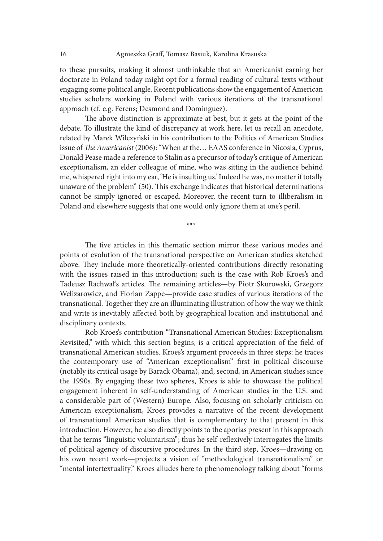to these pursuits, making it almost unthinkable that an Americanist earning her doctorate in Poland today might opt for a formal reading of cultural texts without engaging some political angle. Recent publications show the engagement of American studies scholars working in Poland with various iterations of the transnational approach (cf. e.g. Ferens; Desmond and Dominguez).

The above distinction is approximate at best, but it gets at the point of the debate. To illustrate the kind of discrepancy at work here, let us recall an anecdote, related by Marek Wilczyński in his contribution to the Politics of American Studies issue of The Americanist (2006): "When at the... EAAS conference in Nicosia, Cyprus, Donald Pease made a reference to Stalin as a precursor of today's critique of American exceptionalism, an elder colleague of mine, who was sitting in the audience behind me, whispered right into my ear, 'He is insulting us.' Indeed he was, no matter if totally unaware of the problem" (50). This exchange indicates that historical determinations cannot be simply ignored or escaped. Moreover, the recent turn to illiberalism in Poland and elsewhere suggests that one would only ignore them at one's peril.

The five articles in this thematic section mirror these various modes and points of evolution of the transnational perspective on American studies sketched above. They include more theoretically-oriented contributions directly resonating with the issues raised in this introduction; such is the case with Rob Kroes's and Tadeusz Rachwał's articles. The remaining articles—by Piotr Skurowski, Grzegorz Welizarowicz, and Florian Zappe—provide case studies of various iterations of the transnational. Together they are an illuminating illustration of how the way we think and write is inevitably affected both by geographical location and institutional and disciplinary contexts.

\*\*\*

Rob Kroes's contribution "Transnational American Studies: Exceptionalism Revisited," with which this section begins, is a critical appreciation of the field of transnational American studies. Kroes's argument proceeds in three steps: he traces the contemporary use of "American exceptionalism" first in political discourse (notably its critical usage by Barack Obama), and, second, in American studies since the 1990s. By engaging these two spheres, Kroes is able to showcase the political engagement inherent in self-understanding of American studies in the U.S. and a considerable part of (Western) Europe. Also, focusing on scholarly criticism on American exceptionalism, Kroes provides a narrative of the recent development of transnational American studies that is complementary to that present in this introduction. However, he also directly points to the aporias present in this approach that he terms "linguistic voluntarism"; thus he self-reflexively interrogates the limits of political agency of discursive procedures. In the third step, Kroes—drawing on his own recent work—projects a vision of "methodological transnationalism" or "mental intertextuality." Kroes alludes here to phenomenology talking about "forms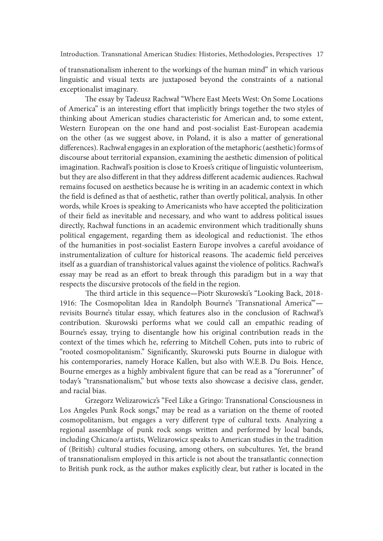of transnationalism inherent to the workings of the human mind" in which various linguistic and visual texts are juxtaposed beyond the constraints of a national exceptionalist imaginary.

The essay by Tadeusz Rachwał "Where East Meets West: On Some Locations of America" is an interesting effort that implicitly brings together the two styles of thinking about American studies characteristic for American and, to some extent, Western European on the one hand and post-socialist East-European academia on the other (as we suggest above, in Poland, it is also a matter of generational differences). Rachwał engages in an exploration of the metaphoric (aesthetic) forms of discourse about territorial expansion, examining the aesthetic dimension of political imagination. Rachwał's position is close to Kroes's critique of linguistic volunteerism, but they are also different in that they address different academic audiences. Rachwał remains focused on aesthetics because he is writing in an academic context in which the field is defined as that of aesthetic, rather than overtly political, analysis. In other words, while Kroes is speaking to Americanists who have accepted the politicization of their field as inevitable and necessary, and who want to address political issues directly, Rachwał functions in an academic environment which traditionally shuns political engagement, regarding them as ideological and reductionist. The ethos of the humanities in post-socialist Eastern Europe involves a careful avoidance of instrumentalization of culture for historical reasons. The academic field perceives itself as a guardian of transhistorical values against the violence of politics. Rachwał's essay may be read as an effort to break through this paradigm but in a way that respects the discursive protocols of the field in the region.

The third article in this sequence—Piotr Skurowski's "Looking Back, 2018-1916: The Cosmopolitan Idea in Randolph Bourne's 'Transnational America" revisits Bourne's titular essay, which features also in the conclusion of Rachwał's contribution. Skurowski performs what we could call an empathic reading of Bourne's essay, trying to disentangle how his original contribution reads in the context of the times which he, referring to Mitchell Cohen, puts into to rubric of "rooted cosmopolitanism." Significantly, Skurowski puts Bourne in dialogue with his contemporaries, namely Horace Kallen, but also with W.E.B. Du Bois. Hence, Bourne emerges as a highly ambivalent figure that can be read as a "forerunner" of today's "transnationalism," but whose texts also showcase a decisive class, gender, and racial bias.

Grzegorz Welizarowicz's "Feel Like a Gringo: Transnational Consciousness in Los Angeles Punk Rock songs," may be read as a variation on the theme of rooted cosmopolitanism, but engages a very different type of cultural texts. Analyzing a regional assemblage of punk rock songs written and performed by local bands, including Chicano/a artists, Welizarowicz speaks to American studies in the tradition of (British) cultural studies focusing, among others, on subcultures. Yet, the brand of transnationalism employed in this article is not about the transatlantic connection to British punk rock, as the author makes explicitly clear, but rather is located in the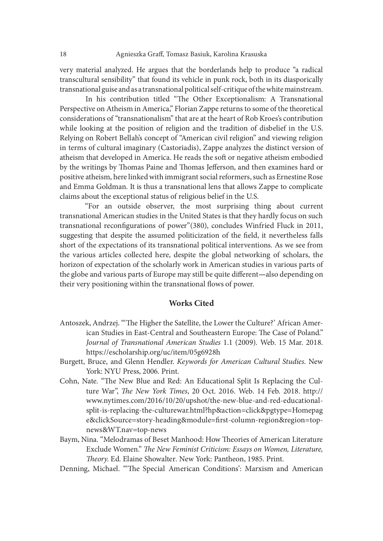very material analyzed. He argues that the borderlands help to produce "a radical transcultural sensibility" that found its vehicle in punk rock, both in its diasporically transnational guise and as a transnational political self-critique of the white mainstream.

In his contribution titled "The Other Exceptionalism: A Transnational Perspective on Atheism in America," Florian Zappe returns to some of the theoretical considerations of "transnationalism" that are at the heart of Rob Kroes's contribution while looking at the position of religion and the tradition of disbelief in the U.S. Relying on Robert Bellah's concept of "American civil religion" and viewing religion in terms of cultural imaginary (Castoriadis), Zappe analyzes the distinct version of atheism that developed in America. He reads the soft or negative atheism embodied by the writings by Thomas Paine and Thomas Jefferson, and then examines hard or positive atheism, here linked with immigrant social reformers, such as Ernestine Rose and Emma Goldman. It is thus a transnational lens that allows Zappe to complicate claims about the exceptional status of religious belief in the U.S.

"For an outside observer, the most surprising thing about current transnational American studies in the United States is that they hardly focus on such transnational reconfigurations of power"(380), concludes Winfried Fluck in 2011, suggesting that despite the assumed politicization of the field, it nevertheless falls short of the expectations of its transnational political interventions. As we see from the various articles collected here, despite the global networking of scholars, the horizon of expectation of the scholarly work in American studies in various parts of the globe and various parts of Europe may still be quite different—also depending on their very positioning within the transnational flows of power.

#### Works Cited

- Antoszek, Andrzej. "'The Higher the Satellite, the Lower the Culture?' African American Studies in East-Central and Southeastern Europe: The Case of Poland." Journal of Transnational American Studies 1.1 (2009). Web. 15 Mar. 2018. https://escholarship.org/uc/item/05g6928h
- Burgett, Bruce, and Glenn Hendler. Keywords for American Cultural Studies. New York: NYU Press, 2006. Print.
- Cohn, Nate. "The New Blue and Red: An Educational Split Is Replacing the Culture War", The New York Times, 20 Oct. 2016. Web. 14 Feb. 2018. http:// www.nytimes.com/2016/10/20/upshot/the-new-blue-and-red-educationalsplit-is-replacing-the-culturewar.html?hp&action=click&pgtype=Homepag e&clickSource=story-heading&module=first-column-region&region=topnews&WT.nav=top-news
- Baym, Nina. "Melodramas of Beset Manhood: How Theories of American Literature Exclude Women." The New Feminist Criticism: Essays on Women, Literature, Theory. Ed. Elaine Showalter. New York: Pantheon, 1985. Print.

Denning, Michael. "The Special American Conditions': Marxism and American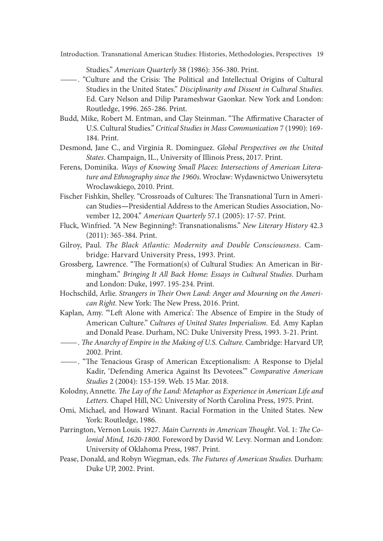- Studies." American Quarterly 38 (1986): 356-380. Print. —. "Culture and the Crisis: xe Political and Intellectual Origins of Cultural Ed. Cary Nelson and Dilip Parameshwar Gaonkar. New York and London: Routledge, 1996. 265-286. Print.
- Budd, Mike, Robert M. Entman, and Clay Steinman. "The Affirmative Character of U.S. Cultural Studies." Critical Studies in Mass Communication 7 (1990): 169- 184. Print.
- Desmond, Jane C., and Virginia R. Dominguez. Global Perspectives on the United States. Champaign, IL., University of Illinois Press, 2017. Print.
- Ferens, Dominika. Ways of Knowing Small Places: Intersections of American Literature and Ethnography since the 1960s. Wrocław: Wydawnictwo Uniwersytetu Wroclawskiego, 2010. Print.
- Fischer Fishkin, Shelley. "Crossroads of Cultures: The Transnational Turn in American Studies—Presidential Address to the American Studies Association, November 12, 2004." American Quarterly 57.1 (2005): 17-57. Print.
- Fluck, Winfried. "A New Beginning?: Transnationalisms." New Literary History 42.3 (2011): 365-384. Print.
- Gilroy, Paul. The Black Atlantic: Modernity and Double Consciousness. Cambridge: Harvard University Press, 1993. Print.
- Grossberg, Lawrence. "The Formation(s) of Cultural Studies: An American in Birmingham." Bringing It All Back Home: Essays in Cultural Studies. Durham and London: Duke, 1997. 195-234. Print.
- Hochschild, Arlie. Strangers in Their Own Land: Anger and Mourning on the American Right. New York: The New Press, 2016. Print.
- Kaplan, Amy. ""Left Alone with America': The Absence of Empire in the Study of American Culture." Cultures of United States Imperialism. Ed. Amy Kaplan
- and Donald Pease. Durham, NC: Duke University Press, 1993. 3-21. Print.<br>
——. The Anarchy of Empire in the Making of U.S. Culture. Cambridge: Harvard UP, 2002. Print.
- <sup>200</sup>2. Enactionalism: A Response to Djelal Exceptionalism: A Response to Djelal Kadir, 'Defending America Against Its Devotees.'" Comparative American Studies 2 (2004): 153-159. Web. 15 Mar. 2018.
- Kolodny, Annette. The Lay of the Land: Metaphor as Experience in American Life and Letters. Chapel Hill, NC: University of North Carolina Press, 1975. Print.
- Omi, Michael, and Howard Winant. Racial Formation in the United States. New York: Routledge, 1986.
- Parrington, Vernon Louis. 1927. Main Currents in American Thought. Vol. 1: The Colonial Mind, 1620-1800. Foreword by David W. Levy. Norman and London: University of Oklahoma Press, 1987. Print.
- Pease, Donald, and Robyn Wiegman, eds. The Futures of American Studies. Durham: Duke UP, 2002. Print.